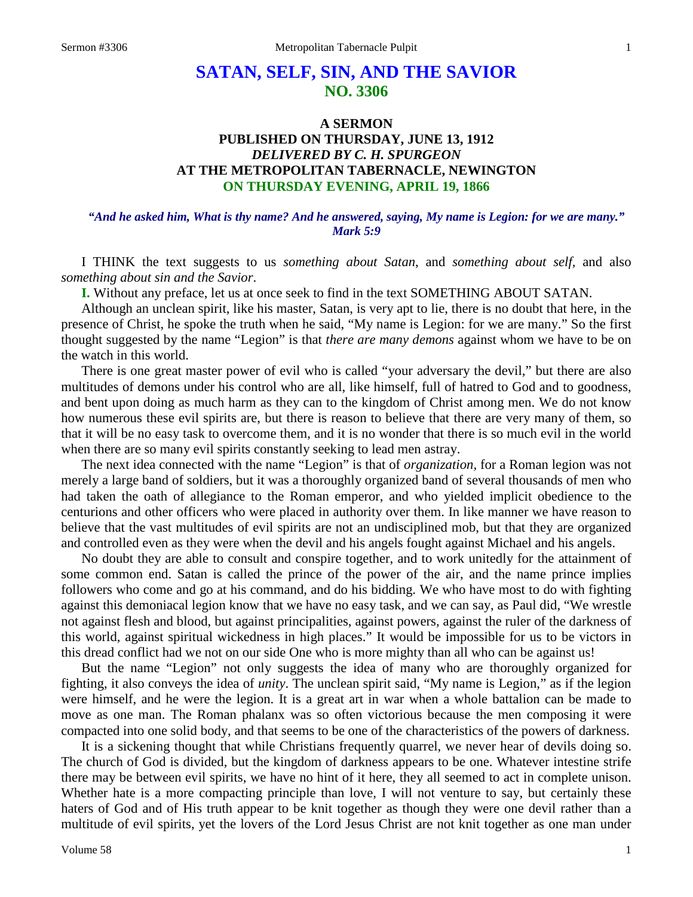# **SATAN, SELF, SIN, AND THE SAVIOR NO. 3306**

## **A SERMON PUBLISHED ON THURSDAY, JUNE 13, 1912** *DELIVERED BY C. H. SPURGEON* **AT THE METROPOLITAN TABERNACLE, NEWINGTON ON THURSDAY EVENING, APRIL 19, 1866**

#### *"And he asked him, What is thy name? And he answered, saying, My name is Legion: for we are many." Mark 5:9*

I THINK the text suggests to us *something about Satan*, and *something about self,* and also *something about sin and the Savior*.

**I.** Without any preface, let us at once seek to find in the text SOMETHING ABOUT SATAN.

Although an unclean spirit, like his master, Satan, is very apt to lie, there is no doubt that here, in the presence of Christ, he spoke the truth when he said, "My name is Legion: for we are many." So the first thought suggested by the name "Legion" is that *there are many demons* against whom we have to be on the watch in this world.

There is one great master power of evil who is called "your adversary the devil," but there are also multitudes of demons under his control who are all, like himself, full of hatred to God and to goodness, and bent upon doing as much harm as they can to the kingdom of Christ among men. We do not know how numerous these evil spirits are, but there is reason to believe that there are very many of them, so that it will be no easy task to overcome them, and it is no wonder that there is so much evil in the world when there are so many evil spirits constantly seeking to lead men astray.

The next idea connected with the name "Legion" is that of *organization,* for a Roman legion was not merely a large band of soldiers, but it was a thoroughly organized band of several thousands of men who had taken the oath of allegiance to the Roman emperor, and who yielded implicit obedience to the centurions and other officers who were placed in authority over them. In like manner we have reason to believe that the vast multitudes of evil spirits are not an undisciplined mob, but that they are organized and controlled even as they were when the devil and his angels fought against Michael and his angels.

No doubt they are able to consult and conspire together, and to work unitedly for the attainment of some common end. Satan is called the prince of the power of the air, and the name prince implies followers who come and go at his command, and do his bidding. We who have most to do with fighting against this demoniacal legion know that we have no easy task, and we can say, as Paul did, "We wrestle not against flesh and blood, but against principalities, against powers, against the ruler of the darkness of this world, against spiritual wickedness in high places." It would be impossible for us to be victors in this dread conflict had we not on our side One who is more mighty than all who can be against us!

But the name "Legion" not only suggests the idea of many who are thoroughly organized for fighting, it also conveys the idea of *unity*. The unclean spirit said, "My name is Legion," as if the legion were himself, and he were the legion. It is a great art in war when a whole battalion can be made to move as one man. The Roman phalanx was so often victorious because the men composing it were compacted into one solid body, and that seems to be one of the characteristics of the powers of darkness.

It is a sickening thought that while Christians frequently quarrel, we never hear of devils doing so. The church of God is divided, but the kingdom of darkness appears to be one. Whatever intestine strife there may be between evil spirits, we have no hint of it here, they all seemed to act in complete unison. Whether hate is a more compacting principle than love, I will not venture to say, but certainly these haters of God and of His truth appear to be knit together as though they were one devil rather than a multitude of evil spirits, yet the lovers of the Lord Jesus Christ are not knit together as one man under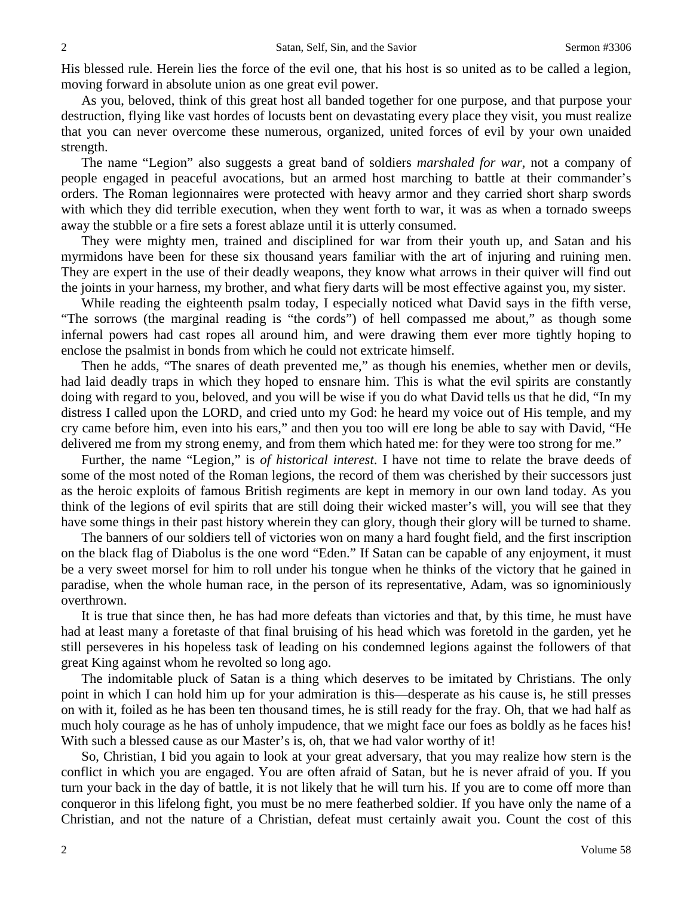His blessed rule. Herein lies the force of the evil one, that his host is so united as to be called a legion, moving forward in absolute union as one great evil power.

As you, beloved, think of this great host all banded together for one purpose, and that purpose your destruction, flying like vast hordes of locusts bent on devastating every place they visit, you must realize that you can never overcome these numerous, organized, united forces of evil by your own unaided strength.

The name "Legion" also suggests a great band of soldiers *marshaled for war,* not a company of people engaged in peaceful avocations, but an armed host marching to battle at their commander's orders. The Roman legionnaires were protected with heavy armor and they carried short sharp swords with which they did terrible execution, when they went forth to war, it was as when a tornado sweeps away the stubble or a fire sets a forest ablaze until it is utterly consumed.

They were mighty men, trained and disciplined for war from their youth up, and Satan and his myrmidons have been for these six thousand years familiar with the art of injuring and ruining men. They are expert in the use of their deadly weapons, they know what arrows in their quiver will find out the joints in your harness, my brother, and what fiery darts will be most effective against you, my sister.

While reading the eighteenth psalm today, I especially noticed what David says in the fifth verse, "The sorrows (the marginal reading is "the cords") of hell compassed me about," as though some infernal powers had cast ropes all around him, and were drawing them ever more tightly hoping to enclose the psalmist in bonds from which he could not extricate himself.

Then he adds, "The snares of death prevented me," as though his enemies, whether men or devils, had laid deadly traps in which they hoped to ensnare him. This is what the evil spirits are constantly doing with regard to you, beloved, and you will be wise if you do what David tells us that he did, "In my distress I called upon the LORD, and cried unto my God: he heard my voice out of His temple, and my cry came before him, even into his ears," and then you too will ere long be able to say with David, "He delivered me from my strong enemy, and from them which hated me: for they were too strong for me."

Further, the name "Legion," is *of historical interest*. I have not time to relate the brave deeds of some of the most noted of the Roman legions, the record of them was cherished by their successors just as the heroic exploits of famous British regiments are kept in memory in our own land today. As you think of the legions of evil spirits that are still doing their wicked master's will, you will see that they have some things in their past history wherein they can glory, though their glory will be turned to shame.

The banners of our soldiers tell of victories won on many a hard fought field, and the first inscription on the black flag of Diabolus is the one word "Eden." If Satan can be capable of any enjoyment, it must be a very sweet morsel for him to roll under his tongue when he thinks of the victory that he gained in paradise, when the whole human race, in the person of its representative, Adam, was so ignominiously overthrown.

It is true that since then, he has had more defeats than victories and that, by this time, he must have had at least many a foretaste of that final bruising of his head which was foretold in the garden, yet he still perseveres in his hopeless task of leading on his condemned legions against the followers of that great King against whom he revolted so long ago.

The indomitable pluck of Satan is a thing which deserves to be imitated by Christians. The only point in which I can hold him up for your admiration is this—desperate as his cause is, he still presses on with it, foiled as he has been ten thousand times, he is still ready for the fray. Oh, that we had half as much holy courage as he has of unholy impudence, that we might face our foes as boldly as he faces his! With such a blessed cause as our Master's is, oh, that we had valor worthy of it!

So, Christian, I bid you again to look at your great adversary, that you may realize how stern is the conflict in which you are engaged. You are often afraid of Satan, but he is never afraid of you. If you turn your back in the day of battle, it is not likely that he will turn his. If you are to come off more than conqueror in this lifelong fight, you must be no mere featherbed soldier. If you have only the name of a Christian, and not the nature of a Christian, defeat must certainly await you. Count the cost of this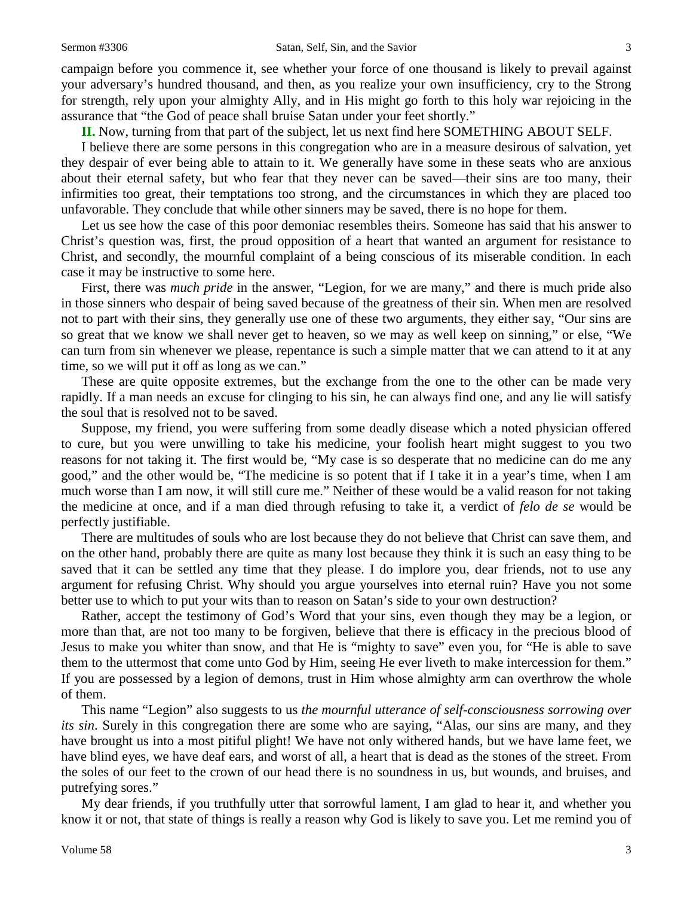campaign before you commence it, see whether your force of one thousand is likely to prevail against your adversary's hundred thousand, and then, as you realize your own insufficiency, cry to the Strong for strength, rely upon your almighty Ally, and in His might go forth to this holy war rejoicing in the assurance that "the God of peace shall bruise Satan under your feet shortly."

**II.** Now, turning from that part of the subject, let us next find here SOMETHING ABOUT SELF.

I believe there are some persons in this congregation who are in a measure desirous of salvation, yet they despair of ever being able to attain to it. We generally have some in these seats who are anxious about their eternal safety, but who fear that they never can be saved—their sins are too many, their infirmities too great, their temptations too strong, and the circumstances in which they are placed too unfavorable. They conclude that while other sinners may be saved, there is no hope for them.

Let us see how the case of this poor demoniac resembles theirs. Someone has said that his answer to Christ's question was, first, the proud opposition of a heart that wanted an argument for resistance to Christ, and secondly, the mournful complaint of a being conscious of its miserable condition. In each case it may be instructive to some here.

First, there was *much pride* in the answer, "Legion, for we are many," and there is much pride also in those sinners who despair of being saved because of the greatness of their sin. When men are resolved not to part with their sins, they generally use one of these two arguments, they either say, "Our sins are so great that we know we shall never get to heaven, so we may as well keep on sinning," or else, "We can turn from sin whenever we please, repentance is such a simple matter that we can attend to it at any time, so we will put it off as long as we can."

These are quite opposite extremes, but the exchange from the one to the other can be made very rapidly. If a man needs an excuse for clinging to his sin, he can always find one, and any lie will satisfy the soul that is resolved not to be saved.

Suppose, my friend, you were suffering from some deadly disease which a noted physician offered to cure, but you were unwilling to take his medicine, your foolish heart might suggest to you two reasons for not taking it. The first would be, "My case is so desperate that no medicine can do me any good," and the other would be, "The medicine is so potent that if I take it in a year's time, when I am much worse than I am now, it will still cure me." Neither of these would be a valid reason for not taking the medicine at once, and if a man died through refusing to take it, a verdict of *felo de se* would be perfectly justifiable.

There are multitudes of souls who are lost because they do not believe that Christ can save them, and on the other hand, probably there are quite as many lost because they think it is such an easy thing to be saved that it can be settled any time that they please. I do implore you, dear friends, not to use any argument for refusing Christ. Why should you argue yourselves into eternal ruin? Have you not some better use to which to put your wits than to reason on Satan's side to your own destruction?

Rather, accept the testimony of God's Word that your sins, even though they may be a legion, or more than that, are not too many to be forgiven, believe that there is efficacy in the precious blood of Jesus to make you whiter than snow, and that He is "mighty to save" even you, for "He is able to save them to the uttermost that come unto God by Him, seeing He ever liveth to make intercession for them." If you are possessed by a legion of demons, trust in Him whose almighty arm can overthrow the whole of them.

This name "Legion" also suggests to us *the mournful utterance of self-consciousness sorrowing over its sin*. Surely in this congregation there are some who are saying, "Alas, our sins are many, and they have brought us into a most pitiful plight! We have not only withered hands, but we have lame feet, we have blind eyes, we have deaf ears, and worst of all, a heart that is dead as the stones of the street. From the soles of our feet to the crown of our head there is no soundness in us, but wounds, and bruises, and putrefying sores."

My dear friends, if you truthfully utter that sorrowful lament, I am glad to hear it, and whether you know it or not, that state of things is really a reason why God is likely to save you. Let me remind you of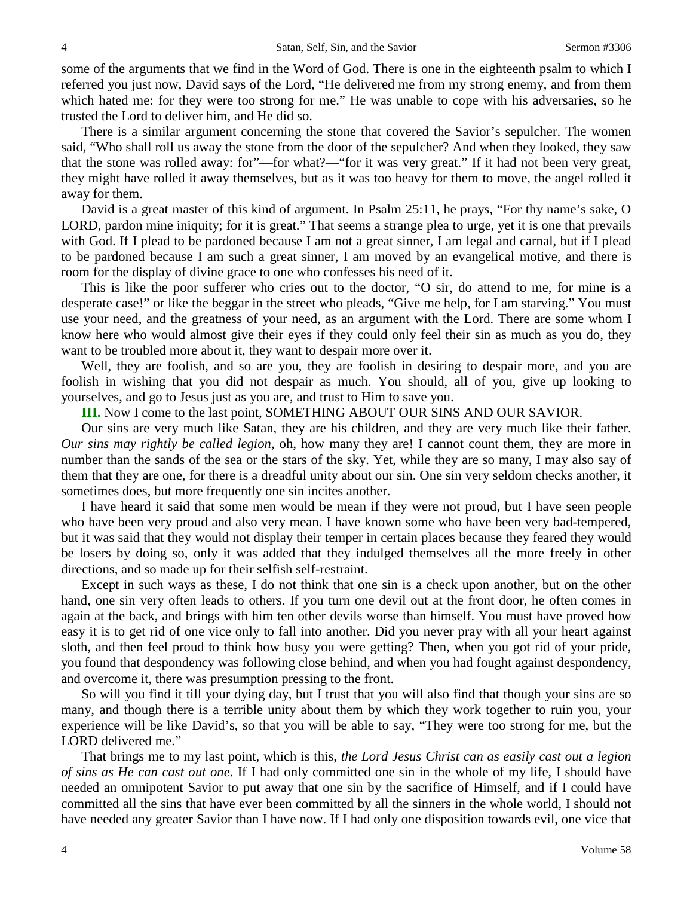some of the arguments that we find in the Word of God. There is one in the eighteenth psalm to which I referred you just now, David says of the Lord, "He delivered me from my strong enemy, and from them which hated me: for they were too strong for me." He was unable to cope with his adversaries, so he trusted the Lord to deliver him, and He did so.

There is a similar argument concerning the stone that covered the Savior's sepulcher. The women said, "Who shall roll us away the stone from the door of the sepulcher? And when they looked, they saw that the stone was rolled away: for"—for what?—"for it was very great." If it had not been very great, they might have rolled it away themselves, but as it was too heavy for them to move, the angel rolled it away for them.

David is a great master of this kind of argument. In Psalm 25:11, he prays, "For thy name's sake, O LORD, pardon mine iniquity; for it is great." That seems a strange plea to urge, yet it is one that prevails with God. If I plead to be pardoned because I am not a great sinner, I am legal and carnal, but if I plead to be pardoned because I am such a great sinner, I am moved by an evangelical motive, and there is room for the display of divine grace to one who confesses his need of it.

This is like the poor sufferer who cries out to the doctor, "O sir, do attend to me, for mine is a desperate case!" or like the beggar in the street who pleads, "Give me help, for I am starving." You must use your need, and the greatness of your need, as an argument with the Lord. There are some whom I know here who would almost give their eyes if they could only feel their sin as much as you do, they want to be troubled more about it, they want to despair more over it.

Well, they are foolish, and so are you, they are foolish in desiring to despair more, and you are foolish in wishing that you did not despair as much. You should, all of you, give up looking to yourselves, and go to Jesus just as you are, and trust to Him to save you.

**III.** Now I come to the last point, SOMETHING ABOUT OUR SINS AND OUR SAVIOR.

Our sins are very much like Satan, they are his children, and they are very much like their father. *Our sins may rightly be called legion,* oh, how many they are! I cannot count them, they are more in number than the sands of the sea or the stars of the sky. Yet, while they are so many, I may also say of them that they are one, for there is a dreadful unity about our sin. One sin very seldom checks another, it sometimes does, but more frequently one sin incites another.

I have heard it said that some men would be mean if they were not proud, but I have seen people who have been very proud and also very mean. I have known some who have been very bad-tempered, but it was said that they would not display their temper in certain places because they feared they would be losers by doing so, only it was added that they indulged themselves all the more freely in other directions, and so made up for their selfish self-restraint.

Except in such ways as these, I do not think that one sin is a check upon another, but on the other hand, one sin very often leads to others. If you turn one devil out at the front door, he often comes in again at the back, and brings with him ten other devils worse than himself. You must have proved how easy it is to get rid of one vice only to fall into another. Did you never pray with all your heart against sloth, and then feel proud to think how busy you were getting? Then, when you got rid of your pride, you found that despondency was following close behind, and when you had fought against despondency, and overcome it, there was presumption pressing to the front.

So will you find it till your dying day, but I trust that you will also find that though your sins are so many, and though there is a terrible unity about them by which they work together to ruin you, your experience will be like David's, so that you will be able to say, "They were too strong for me, but the LORD delivered me."

That brings me to my last point, which is this, *the Lord Jesus Christ can as easily cast out a legion of sins as He can cast out one*. If I had only committed one sin in the whole of my life, I should have needed an omnipotent Savior to put away that one sin by the sacrifice of Himself, and if I could have committed all the sins that have ever been committed by all the sinners in the whole world, I should not have needed any greater Savior than I have now. If I had only one disposition towards evil, one vice that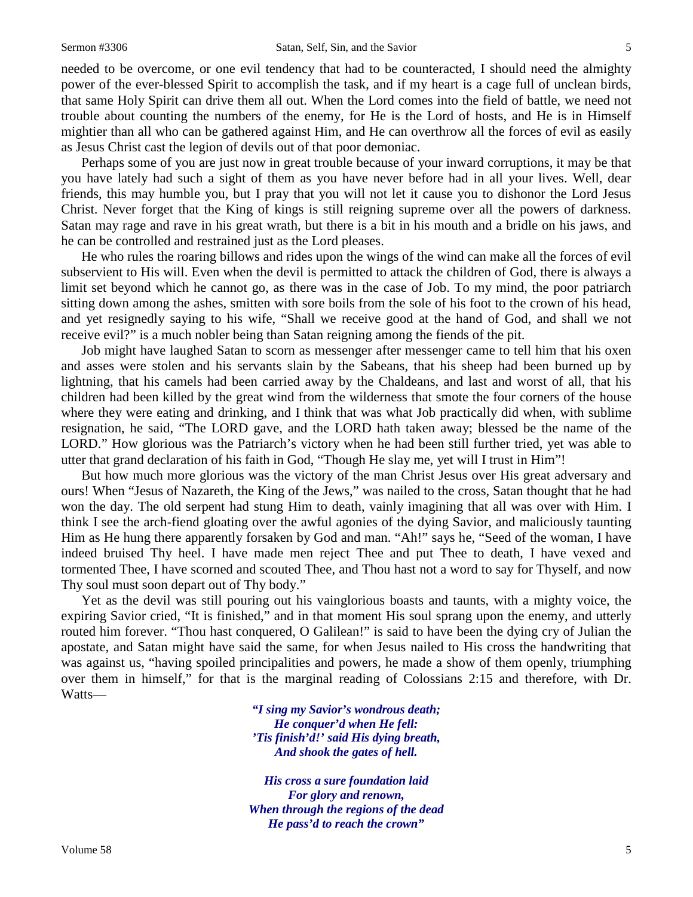needed to be overcome, or one evil tendency that had to be counteracted, I should need the almighty power of the ever-blessed Spirit to accomplish the task, and if my heart is a cage full of unclean birds, that same Holy Spirit can drive them all out. When the Lord comes into the field of battle, we need not trouble about counting the numbers of the enemy, for He is the Lord of hosts, and He is in Himself mightier than all who can be gathered against Him, and He can overthrow all the forces of evil as easily as Jesus Christ cast the legion of devils out of that poor demoniac.

Perhaps some of you are just now in great trouble because of your inward corruptions, it may be that you have lately had such a sight of them as you have never before had in all your lives. Well, dear friends, this may humble you, but I pray that you will not let it cause you to dishonor the Lord Jesus Christ. Never forget that the King of kings is still reigning supreme over all the powers of darkness. Satan may rage and rave in his great wrath, but there is a bit in his mouth and a bridle on his jaws, and he can be controlled and restrained just as the Lord pleases.

He who rules the roaring billows and rides upon the wings of the wind can make all the forces of evil subservient to His will. Even when the devil is permitted to attack the children of God, there is always a limit set beyond which he cannot go, as there was in the case of Job. To my mind, the poor patriarch sitting down among the ashes, smitten with sore boils from the sole of his foot to the crown of his head, and yet resignedly saying to his wife, "Shall we receive good at the hand of God, and shall we not receive evil?" is a much nobler being than Satan reigning among the fiends of the pit.

Job might have laughed Satan to scorn as messenger after messenger came to tell him that his oxen and asses were stolen and his servants slain by the Sabeans, that his sheep had been burned up by lightning, that his camels had been carried away by the Chaldeans, and last and worst of all, that his children had been killed by the great wind from the wilderness that smote the four corners of the house where they were eating and drinking, and I think that was what Job practically did when, with sublime resignation, he said, "The LORD gave, and the LORD hath taken away; blessed be the name of the LORD." How glorious was the Patriarch's victory when he had been still further tried, yet was able to utter that grand declaration of his faith in God, "Though He slay me, yet will I trust in Him"!

But how much more glorious was the victory of the man Christ Jesus over His great adversary and ours! When "Jesus of Nazareth, the King of the Jews," was nailed to the cross, Satan thought that he had won the day. The old serpent had stung Him to death, vainly imagining that all was over with Him. I think I see the arch-fiend gloating over the awful agonies of the dying Savior, and maliciously taunting Him as He hung there apparently forsaken by God and man. "Ah!" says he, "Seed of the woman, I have indeed bruised Thy heel. I have made men reject Thee and put Thee to death, I have vexed and tormented Thee, I have scorned and scouted Thee, and Thou hast not a word to say for Thyself, and now Thy soul must soon depart out of Thy body."

Yet as the devil was still pouring out his vainglorious boasts and taunts, with a mighty voice, the expiring Savior cried, "It is finished," and in that moment His soul sprang upon the enemy, and utterly routed him forever. "Thou hast conquered, O Galilean!" is said to have been the dying cry of Julian the apostate, and Satan might have said the same, for when Jesus nailed to His cross the handwriting that was against us, "having spoiled principalities and powers, he made a show of them openly, triumphing over them in himself," for that is the marginal reading of Colossians 2:15 and therefore, with Dr. Watts—

> *"I sing my Savior's wondrous death; He conquer'd when He fell: 'Tis finish'd!' said His dying breath, And shook the gates of hell.*

*His cross a sure foundation laid For glory and renown, When through the regions of the dead He pass'd to reach the crown"*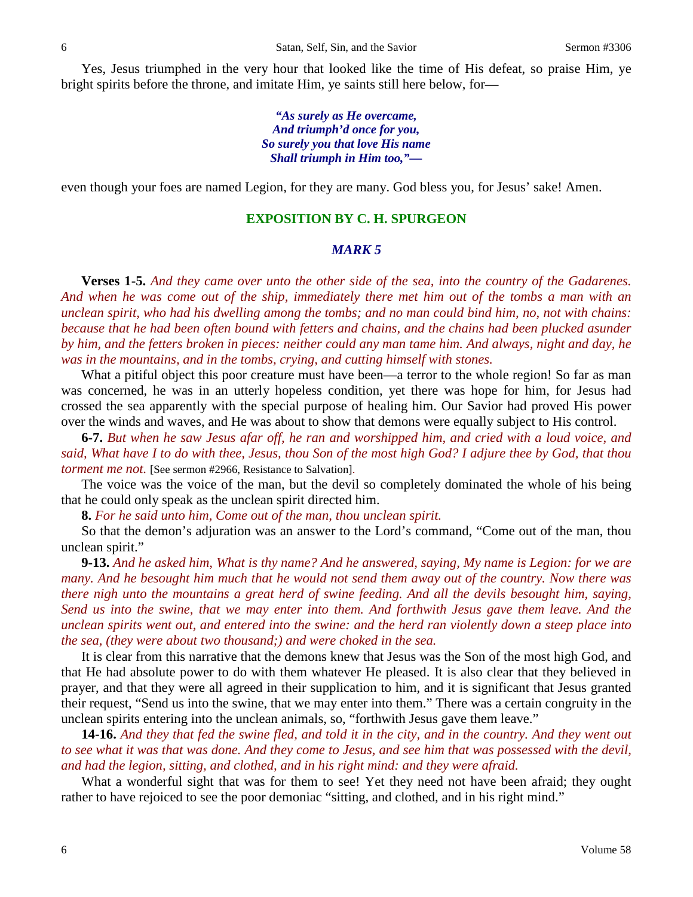Yes, Jesus triumphed in the very hour that looked like the time of His defeat, so praise Him, ye bright spirits before the throne, and imitate Him, ye saints still here below, for**—**

> *"As surely as He overcame, And triumph'd once for you, So surely you that love His name Shall triumph in Him too,"—*

even though your foes are named Legion, for they are many. God bless you, for Jesus' sake! Amen.

#### **EXPOSITION BY C. H. SPURGEON**

### *MARK 5*

**Verses 1-5.** *And they came over unto the other side of the sea, into the country of the Gadarenes. And when he was come out of the ship, immediately there met him out of the tombs a man with an unclean spirit, who had his dwelling among the tombs; and no man could bind him, no, not with chains: because that he had been often bound with fetters and chains, and the chains had been plucked asunder by him, and the fetters broken in pieces: neither could any man tame him. And always, night and day, he was in the mountains, and in the tombs, crying, and cutting himself with stones.*

What a pitiful object this poor creature must have been—a terror to the whole region! So far as man was concerned, he was in an utterly hopeless condition, yet there was hope for him, for Jesus had crossed the sea apparently with the special purpose of healing him. Our Savior had proved His power over the winds and waves, and He was about to show that demons were equally subject to His control.

**6-7.** *But when he saw Jesus afar off, he ran and worshipped him, and cried with a loud voice, and said, What have I to do with thee, Jesus, thou Son of the most high God? I adjure thee by God, that thou torment me not.* [See sermon #2966, Resistance to Salvation].

The voice was the voice of the man, but the devil so completely dominated the whole of his being that he could only speak as the unclean spirit directed him.

**8.** *For he said unto him, Come out of the man, thou unclean spirit.*

So that the demon's adjuration was an answer to the Lord's command, "Come out of the man, thou unclean spirit."

**9-13.** *And he asked him, What is thy name? And he answered, saying, My name is Legion: for we are many. And he besought him much that he would not send them away out of the country. Now there was there nigh unto the mountains a great herd of swine feeding. And all the devils besought him, saying, Send us into the swine, that we may enter into them. And forthwith Jesus gave them leave. And the unclean spirits went out, and entered into the swine: and the herd ran violently down a steep place into the sea, (they were about two thousand;) and were choked in the sea.*

It is clear from this narrative that the demons knew that Jesus was the Son of the most high God, and that He had absolute power to do with them whatever He pleased. It is also clear that they believed in prayer, and that they were all agreed in their supplication to him, and it is significant that Jesus granted their request, "Send us into the swine, that we may enter into them." There was a certain congruity in the unclean spirits entering into the unclean animals, so, "forthwith Jesus gave them leave."

**14-16.** *And they that fed the swine fled, and told it in the city, and in the country. And they went out to see what it was that was done. And they come to Jesus, and see him that was possessed with the devil, and had the legion, sitting, and clothed, and in his right mind: and they were afraid.*

What a wonderful sight that was for them to see! Yet they need not have been afraid; they ought rather to have rejoiced to see the poor demoniac "sitting, and clothed, and in his right mind."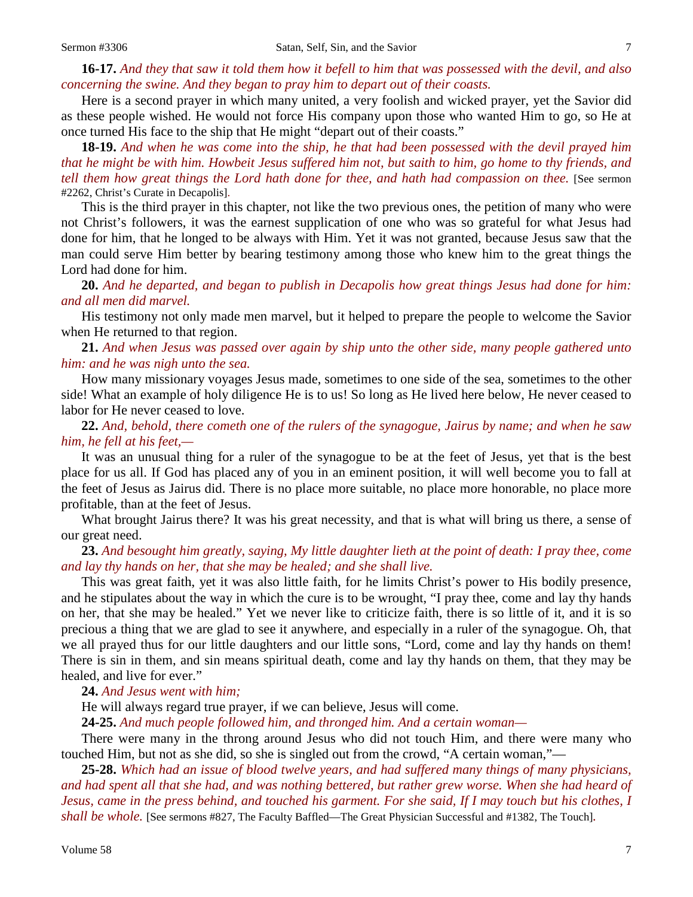**16-17.** *And they that saw it told them how it befell to him that was possessed with the devil, and also concerning the swine. And they began to pray him to depart out of their coasts.*

Here is a second prayer in which many united, a very foolish and wicked prayer, yet the Savior did as these people wished. He would not force His company upon those who wanted Him to go, so He at once turned His face to the ship that He might "depart out of their coasts."

**18-19.** *And when he was come into the ship, he that had been possessed with the devil prayed him that he might be with him. Howbeit Jesus suffered him not, but saith to him, go home to thy friends, and tell them how great things the Lord hath done for thee, and hath had compassion on thee.* [See sermon #2262, Christ's Curate in Decapolis].

This is the third prayer in this chapter, not like the two previous ones, the petition of many who were not Christ's followers, it was the earnest supplication of one who was so grateful for what Jesus had done for him, that he longed to be always with Him. Yet it was not granted, because Jesus saw that the man could serve Him better by bearing testimony among those who knew him to the great things the Lord had done for him.

**20.** *And he departed, and began to publish in Decapolis how great things Jesus had done for him: and all men did marvel.*

His testimony not only made men marvel, but it helped to prepare the people to welcome the Savior when He returned to that region.

**21.** *And when Jesus was passed over again by ship unto the other side, many people gathered unto him: and he was nigh unto the sea.*

How many missionary voyages Jesus made, sometimes to one side of the sea, sometimes to the other side! What an example of holy diligence He is to us! So long as He lived here below, He never ceased to labor for He never ceased to love.

**22.** *And, behold, there cometh one of the rulers of the synagogue, Jairus by name; and when he saw him, he fell at his feet,—*

It was an unusual thing for a ruler of the synagogue to be at the feet of Jesus, yet that is the best place for us all. If God has placed any of you in an eminent position, it will well become you to fall at the feet of Jesus as Jairus did. There is no place more suitable, no place more honorable, no place more profitable, than at the feet of Jesus.

What brought Jairus there? It was his great necessity, and that is what will bring us there, a sense of our great need.

**23.** *And besought him greatly, saying, My little daughter lieth at the point of death: I pray thee, come and lay thy hands on her, that she may be healed; and she shall live.*

This was great faith, yet it was also little faith, for he limits Christ's power to His bodily presence, and he stipulates about the way in which the cure is to be wrought, "I pray thee, come and lay thy hands on her, that she may be healed." Yet we never like to criticize faith, there is so little of it, and it is so precious a thing that we are glad to see it anywhere, and especially in a ruler of the synagogue. Oh, that we all prayed thus for our little daughters and our little sons, "Lord, come and lay thy hands on them! There is sin in them, and sin means spiritual death, come and lay thy hands on them, that they may be healed, and live for ever."

**24.** *And Jesus went with him;*

He will always regard true prayer, if we can believe, Jesus will come.

**24-25.** *And much people followed him, and thronged him. And a certain woman—*

There were many in the throng around Jesus who did not touch Him, and there were many who touched Him, but not as she did, so she is singled out from the crowd, "A certain woman,"—

**25-28.** *Which had an issue of blood twelve years, and had suffered many things of many physicians, and had spent all that she had, and was nothing bettered, but rather grew worse. When she had heard of Jesus, came in the press behind, and touched his garment. For she said, If I may touch but his clothes, I shall be whole.* [See sermons #827, The Faculty Baffled—The Great Physician Successful and #1382, The Touch]*.*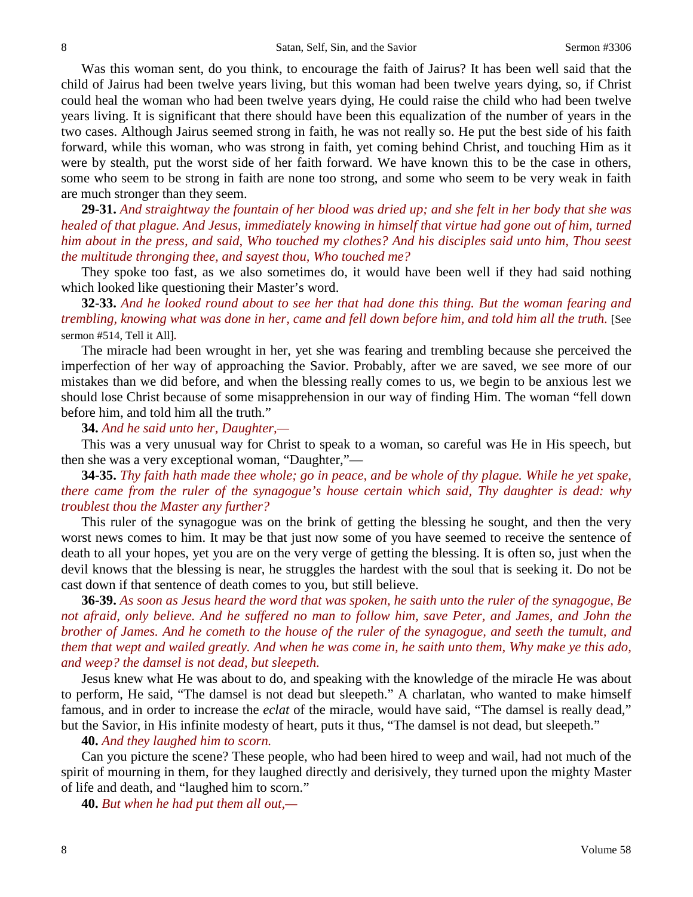Was this woman sent, do you think, to encourage the faith of Jairus? It has been well said that the child of Jairus had been twelve years living, but this woman had been twelve years dying, so, if Christ could heal the woman who had been twelve years dying, He could raise the child who had been twelve years living. It is significant that there should have been this equalization of the number of years in the two cases. Although Jairus seemed strong in faith, he was not really so. He put the best side of his faith forward, while this woman, who was strong in faith, yet coming behind Christ, and touching Him as it were by stealth, put the worst side of her faith forward. We have known this to be the case in others, some who seem to be strong in faith are none too strong, and some who seem to be very weak in faith are much stronger than they seem.

**29-31.** *And straightway the fountain of her blood was dried up; and she felt in her body that she was healed of that plague. And Jesus, immediately knowing in himself that virtue had gone out of him, turned him about in the press, and said, Who touched my clothes? And his disciples said unto him, Thou seest the multitude thronging thee, and sayest thou, Who touched me?*

They spoke too fast, as we also sometimes do, it would have been well if they had said nothing which looked like questioning their Master's word.

**32-33.** *And he looked round about to see her that had done this thing. But the woman fearing and trembling, knowing what was done in her, came and fell down before him, and told him all the truth.* [See sermon #514, Tell it All]*.*

The miracle had been wrought in her, yet she was fearing and trembling because she perceived the imperfection of her way of approaching the Savior. Probably, after we are saved, we see more of our mistakes than we did before, and when the blessing really comes to us, we begin to be anxious lest we should lose Christ because of some misapprehension in our way of finding Him. The woman "fell down before him, and told him all the truth."

**34.** *And he said unto her, Daughter,—*

This was a very unusual way for Christ to speak to a woman, so careful was He in His speech, but then she was a very exceptional woman, "Daughter,"—

**34-35.** *Thy faith hath made thee whole; go in peace, and be whole of thy plague. While he yet spake, there came from the ruler of the synagogue's house certain which said, Thy daughter is dead: why troublest thou the Master any further?*

This ruler of the synagogue was on the brink of getting the blessing he sought, and then the very worst news comes to him. It may be that just now some of you have seemed to receive the sentence of death to all your hopes, yet you are on the very verge of getting the blessing. It is often so, just when the devil knows that the blessing is near, he struggles the hardest with the soul that is seeking it. Do not be cast down if that sentence of death comes to you, but still believe.

**36-39.** *As soon as Jesus heard the word that was spoken, he saith unto the ruler of the synagogue, Be not afraid, only believe. And he suffered no man to follow him, save Peter, and James, and John the brother of James. And he cometh to the house of the ruler of the synagogue, and seeth the tumult, and them that wept and wailed greatly. And when he was come in, he saith unto them, Why make ye this ado, and weep? the damsel is not dead, but sleepeth.*

Jesus knew what He was about to do, and speaking with the knowledge of the miracle He was about to perform, He said, "The damsel is not dead but sleepeth." A charlatan, who wanted to make himself famous, and in order to increase the *eclat* of the miracle, would have said, "The damsel is really dead," but the Savior, in His infinite modesty of heart, puts it thus, "The damsel is not dead, but sleepeth."

**40.** *And they laughed him to scorn.*

Can you picture the scene? These people, who had been hired to weep and wail, had not much of the spirit of mourning in them, for they laughed directly and derisively, they turned upon the mighty Master of life and death, and "laughed him to scorn."

**40.** *But when he had put them all out,—*